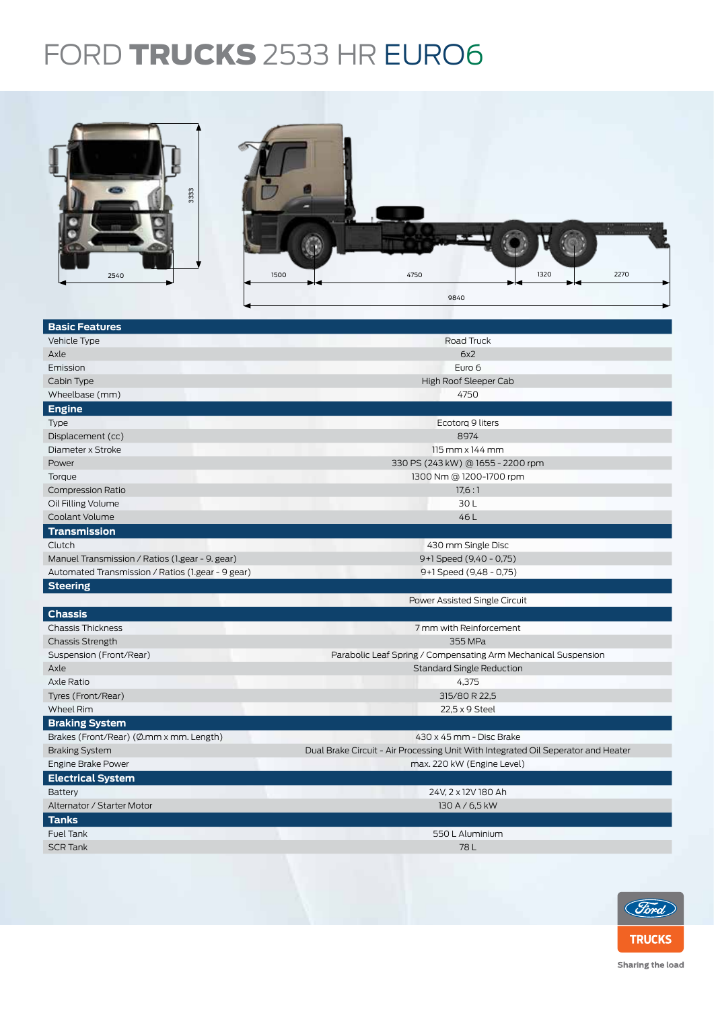## FORD **TRUCKS** 2533 HR EURO6



| <b>Basic Features</b>                             |                                                                                   |  |  |  |
|---------------------------------------------------|-----------------------------------------------------------------------------------|--|--|--|
| Vehicle Type                                      | Road Truck                                                                        |  |  |  |
| Axle                                              | 6x2                                                                               |  |  |  |
| Emission                                          | Euro 6                                                                            |  |  |  |
| Cabin Type                                        | High Roof Sleeper Cab                                                             |  |  |  |
| Wheelbase (mm)                                    | 4750                                                                              |  |  |  |
| <b>Engine</b>                                     |                                                                                   |  |  |  |
| Type                                              | Ecotorg 9 liters                                                                  |  |  |  |
| Displacement (cc)                                 | 8974                                                                              |  |  |  |
| Diameter x Stroke                                 | 115 mm x 144 mm                                                                   |  |  |  |
| Power                                             | 330 PS (243 kW) @ 1655 - 2200 rpm                                                 |  |  |  |
| Torque                                            | 1300 Nm @ 1200-1700 rpm                                                           |  |  |  |
| <b>Compression Ratio</b>                          | 17,6:1                                                                            |  |  |  |
| Oil Filling Volume                                | 30L                                                                               |  |  |  |
| Coolant Volume                                    | 46L                                                                               |  |  |  |
| <b>Transmission</b>                               |                                                                                   |  |  |  |
| Clutch                                            | 430 mm Single Disc                                                                |  |  |  |
| Manuel Transmission / Ratios (1.gear - 9. gear)   | 9+1 Speed (9,40 - 0,75)                                                           |  |  |  |
| Automated Transmission / Ratios (1.gear - 9 gear) | 9+1 Speed (9,48 - 0,75)                                                           |  |  |  |
| <b>Steering</b>                                   |                                                                                   |  |  |  |
|                                                   | Power Assisted Single Circuit                                                     |  |  |  |
| <b>Chassis</b>                                    |                                                                                   |  |  |  |
| <b>Chassis Thickness</b>                          | 7 mm with Reinforcement                                                           |  |  |  |
| <b>Chassis Strength</b>                           | 355 MPa                                                                           |  |  |  |
| Suspension (Front/Rear)                           | Parabolic Leaf Spring / Compensating Arm Mechanical Suspension                    |  |  |  |
| Axle                                              | <b>Standard Single Reduction</b>                                                  |  |  |  |
| Axle Ratio                                        | 4,375                                                                             |  |  |  |
| Tyres (Front/Rear)                                | 315/80 R 22,5                                                                     |  |  |  |
| <b>Wheel Rim</b>                                  | 22,5 x 9 Steel                                                                    |  |  |  |
| <b>Braking System</b>                             |                                                                                   |  |  |  |
| Brakes (Front/Rear) (Ø.mm x mm. Length)           | 430 x 45 mm - Disc Brake                                                          |  |  |  |
| <b>Braking System</b>                             | Dual Brake Circuit - Air Processing Unit With Integrated Oil Seperator and Heater |  |  |  |
| Engine Brake Power                                | max. 220 kW (Engine Level)                                                        |  |  |  |
| <b>Electrical System</b>                          |                                                                                   |  |  |  |
| <b>Battery</b>                                    | 24V, 2 x 12V 180 Ah                                                               |  |  |  |
| Alternator / Starter Motor                        | 130 A / 6,5 kW                                                                    |  |  |  |
| <b>Tanks</b>                                      |                                                                                   |  |  |  |
| <b>Fuel Tank</b>                                  | 550 L Aluminium                                                                   |  |  |  |
| <b>SCR Tank</b>                                   | 78 L                                                                              |  |  |  |
|                                                   |                                                                                   |  |  |  |
|                                                   |                                                                                   |  |  |  |



Sharing the load